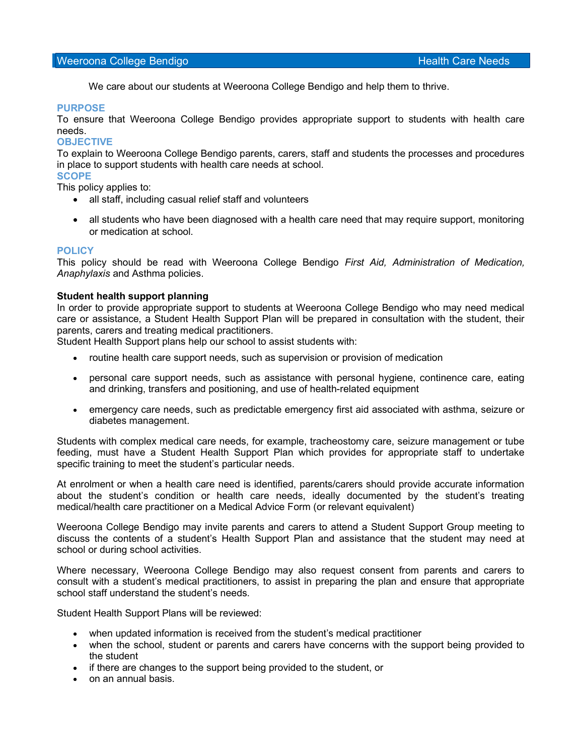#### Weeroona College Bendigo **Health Care Needs** Health Care Needs

We care about our students at Weeroona College Bendigo and help them to thrive.

#### PURPOSE

To ensure that Weeroona College Bendigo provides appropriate support to students with health care needs.

#### **OBJECTIVE**

To explain to Weeroona College Bendigo parents, carers, staff and students the processes and procedures in place to support students with health care needs at school.

**SCOPE** 

This policy applies to:

- all staff, including casual relief staff and volunteers
- all students who have been diagnosed with a health care need that may require support, monitoring or medication at school.

#### POLICY

This policy should be read with Weeroona College Bendigo First Aid, Administration of Medication, Anaphylaxis and Asthma policies.

#### Student health support planning

In order to provide appropriate support to students at Weeroona College Bendigo who may need medical care or assistance, a Student Health Support Plan will be prepared in consultation with the student, their parents, carers and treating medical practitioners.

Student Health Support plans help our school to assist students with:

- routine health care support needs, such as supervision or provision of medication
- personal care support needs, such as assistance with personal hygiene, continence care, eating and drinking, transfers and positioning, and use of health-related equipment
- emergency care needs, such as predictable emergency first aid associated with asthma, seizure or diabetes management.

Students with complex medical care needs, for example, tracheostomy care, seizure management or tube feeding, must have a Student Health Support Plan which provides for appropriate staff to undertake specific training to meet the student's particular needs.

At enrolment or when a health care need is identified, parents/carers should provide accurate information about the student's condition or health care needs, ideally documented by the student's treating medical/health care practitioner on a Medical Advice Form (or relevant equivalent)

Weeroona College Bendigo may invite parents and carers to attend a Student Support Group meeting to discuss the contents of a student's Health Support Plan and assistance that the student may need at school or during school activities.

Where necessary, Weeroona College Bendigo may also request consent from parents and carers to consult with a student's medical practitioners, to assist in preparing the plan and ensure that appropriate school staff understand the student's needs.

Student Health Support Plans will be reviewed:

- when updated information is received from the student's medical practitioner
- when the school, student or parents and carers have concerns with the support being provided to the student
- if there are changes to the support being provided to the student, or
- on an annual basis.